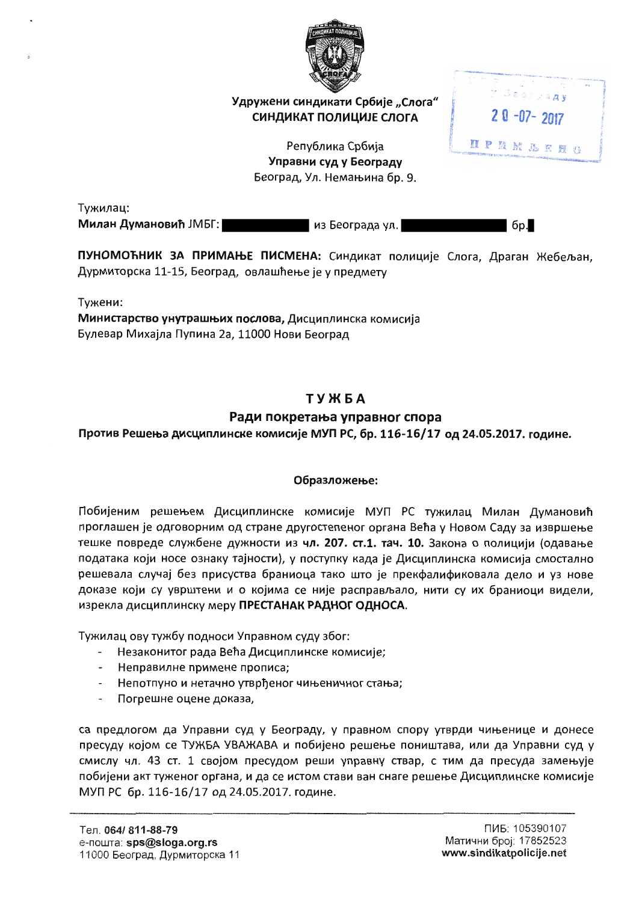

Удружени синдикати Србије "Слога" СИНДИКАТ ПОЛИЦИЈЕ СЛОГА

> Република Србија Управни суд у Београду Београд, Ул. Немањина бр. 9.

Тужилац: Милан Думановић ЈМБГ:

из Београда ул.

6p.

**Beorgany** 

 $20 - 07 - 2017$ 

**HPNMLEHO** 

ПУНОМОЋНИК ЗА ПРИМАЊЕ ПИСМЕНА: Синдикат полиције Слога, Драган Жебељан, Дурмиторска 11-15, Београд, овлашћење је у предмету

Тужени:

Министарство унутрашњих послова, Дисциплинска комисија Булевар Михајла Пупина 2а, 11000 Нови Београд

# **ТУЖБА**

# Ради покретања управног спора

Против Решења дисциплинске комисије МУП РС, бр. 116-16/17 од 24.05.2017. године.

## Образложење:

Побијеним решењем Дисциплинске комисије МУП РС тужилац Милан Думановић проглашен је одговорним од стране другостепеног органа Већа у Новом Саду за извршење тешке повреде службене дужности из чл. 207. ст.1. тач. 10. Закона о полицији (одавање података који носе ознаку тајности), у поступку када је Дисциплинска комисија смостално решевала случај без присуства браниоца тако што је прекфалификовала дело и уз нове доказе који су уврштени и о којима се није расправљало, нити су их браниоци видели, изрекла дисциплинску меру ПРЕСТАНАК РАДНОГ ОДНОСА.

Тужилац ову тужбу подноси Управном суду због:

- Незаконитог рада Већа Дисциплинске комисије;
- Неправилне примене прописа;
- Непотпуно и нетачно утврђеног чињеничног стања;
- Погрешне оцене доказа,

са предлогом да Управни суд у Београду, у правном спору утврди чињенице и донесе пресуду којом се ТУЖБА УВАЖАВА и побијено решење поништава, или да Управни суд у смислу чл. 43 ст. 1 својом пресудом реши управну ствар, с тим да пресуда замењује побијени акт туженог органа, и да се истом стави ван снаге решење Дисциплинске комисије МУП РС бр. 116-16/17 од 24.05.2017. године.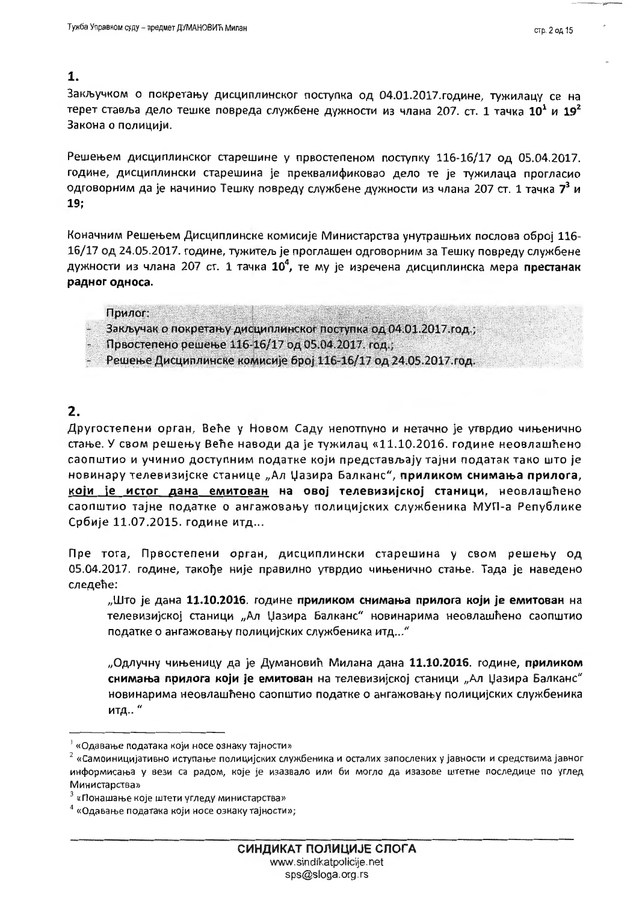### 1.

Закључком о покретању дисциплинског поступка од 04.01.2017.године, тужилацу се на терет ставља дело тешке повреда службене дужности из члана 207. ст. 1 тачка  $10^1$  и  $19^2$ Закона о полицији.

Решењем дисциплинског старешине у првостепеном поступку 116-16/17 од 05.04.2017. године, дисциплински старешина је преквалификовао дело те је тужилаца прогласио одговорним да је начинио Тешку повреду службене дужности из члана 207 ст. 1 тачка 7<sup>3</sup> и  $19;$ 

Коначним Решењем Дисциплинске комисије Министарства унутрашњих послова оброј 116-16/17 од 24.05.2017. године, тужитељ је проглашен одговорним за Тешку повреду службене дужности из члана 207 ст. 1 тачка 10<sup>4</sup>, те му је изречена дисциплинска мера престанак радног односа.

#### Прилог:

Закључак о покретању дисциплинског поступка од 04.01.2017.год.;

Првостепено решење 116-16/17 од 05.04.2017. год.;

Решење Дисциплинске комисије број 116-16/17 од 24.05.2017.год.

# $2.$

Другостепени орган, Веће у Новом Саду непотпуно и нетачно је утврдио чињенично стање. У свом решењу Веће наводи да је тужилац «11.10.2016. године неовлашћено саопштио и учинио доступним податке који представљају тајни податак тако што је новинару телевизијске станице "Ал Џазира Балканс", приликом снимања прилога, који је истог дана емитован на овој телевизијској станици, неовлашћено саопштио тајне податке о ангажовању полицијских службеника МУП-а Републике Србије 11.07.2015. године итд...

Пре тога, Првостепени орган, дисциплински старешина у свом решењу од 05.04.2017. године, такође није правилно утврдио чињенично стање. Тада је наведено следеће:

"Што је дана 11.10.2016. године приликом снимања прилога који је емитован на телевизијској станици "Ал Џазира Балканс" новинарима неовлашћено саопштио податке о ангажовању полицијских службеника итд..."

"Одлучну чињеницу да је Думановић Милана дана 11.10.2016. године, приликом снимања прилога који је емитован на телевизијској станици "Ал Џазира Балканс" новинарима неовлашћено саопштио податке о ангажовању полицијских службеника итд.."

<sup>&</sup>lt;sup>1</sup> «Одавање података који носе ознаку тајности»

 $2\,$ «Самоиницијативно иступање полицијских службеника и осталих запослених у јавности и средствима јавног информисања у вези са радом, које је изазвало или би могло да изазове штетне последице по углед Министарства»

 $3$  «Понашање које штети угледу министарства»

<sup>&</sup>lt;sup>4</sup> «Одавање података који носе ознаку тајности»;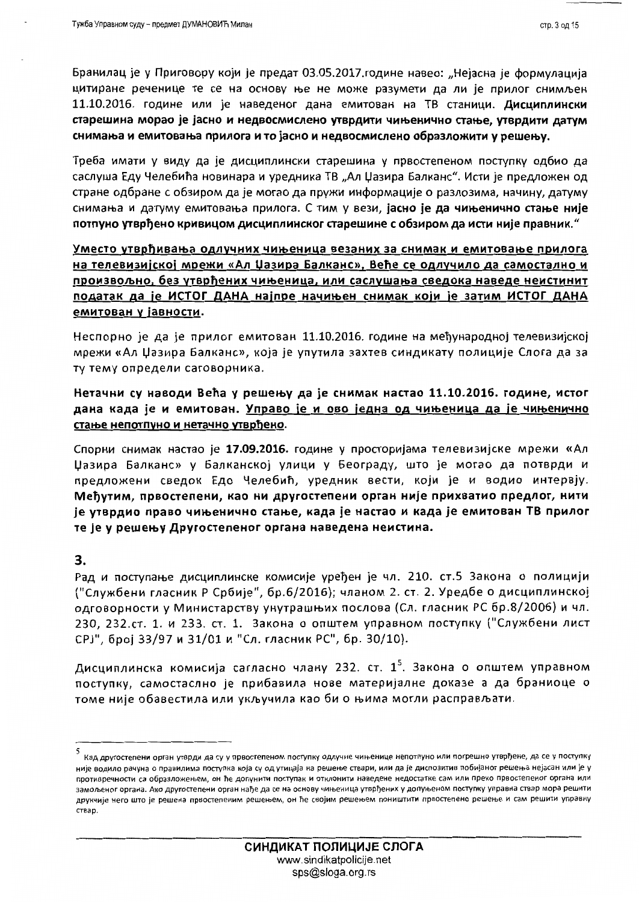Бранилац је у Приговору који је предат 03.05.2017.године навео: "Нејасна је формулација цитиране реченице те се на основу ње не може разумети да ли је прилог снимљен 11.10.2016. године или је наведеног дана емитован на ТВ станици. Дисциплински старешина морао је јасно и недвосмислено утврдити чињенично стање, утврдити датум снимања и емитовања прилога и то јасно и недвосмислено образложити у решењу.

Треба имати у виду да је дисциплински старешина у првостепеном поступку одбио да саслуша Еду Челебића новинара и уредника ТВ "Ал Џазира Балканс". Исти је предложен од стране одбране с обзиром да је могао да пружи информације о разлозима, начину, датуму снимања и датуму емитовања прилога. С тим у вези, јасно је да чињенично стање није потпуно утврђено кривицом дисциплинског старешине с обзиром да исти није правник."

## Уместо утврђивања одлучних чињеница везаних за снимак и емитовање прилога на телевизијској мрежи «Ал Џазира Балканс», Веће се одлучило да самостално и произвољно, без утврђених чињеница, или саслушања сведока наведе неистинит податак да је ИСТОГ ДАНА најпре начињен снимак који је затим ИСТОГ ДАНА емитован у јавности.

Неспорно је да је прилог емитован 11.10.2016. године на међународној телевизијској мрежи «Ал Џазира Балканс», која је упутила захтев синдикату полиције Слога да за ту тему определи саговорника.

Нетачни су наводи Већа у решењу да је снимак настао 11.10.2016. године, истог дана када је и емитован. <u>Управо је и ово једна од чињеница да је чињенично</u> стање непотпуно и нетачно утврђено.

Спорни снимак настао је 17.09.2016. године у просторијама телевизијске мрежи «Ал Џазира Балканс» у Балканској улици у Београду, што је могао да потврди и предложени сведок Едо Челебић, уредник вести, који је и водио интервју. Међутим, првостепени, као ни другостепени орган није прихватио предлог, нити је утврдио право чињенично стање, када је настао и када је емитован ТВ прилог те је у решењу Другостепеног органа наведена неистина.

### 3.

Рад и поступање дисциплинске комисије уређен је чл. 210. ст.5 Закона о полицији ("Службени гласник Р Србије", бр.6/2016); чланом 2. ст. 2. Уредбе о дисциплинској одговорности у Министарству унутрашњих послова (Сл. гласник РС бр.8/2006) и чл. 230, 232.ст. 1. и 233. ст. 1. Закона о општем управном поступку ("Службени лист СРЈ", број 33/97 и 31/01 и "Сл. гласник РС", бр. 30/10).

Дисциплинска комисија сагласно члану 232. ст.  $1^5$ . Закона о општем управном поступку, самостаслно је прибавила нове материјалне доказе а да браниоце о томе није обавестила или укључила као би о њима могли расправљати.

<sup>5&</sup>lt;br>Кад другостепени орган утврди да су у првостепеном поступку одлучне чињенице непотпуно или погрешно утврђене, да се у поступку није водило рачуна о правилима поступка која су од утицаја на решење ствари, или да је диспозитив побијаног решења нејасан или је у противречности са образложењем, он ће допунити поступак и отклонити наведене недостатке сам или преко првостепеног органа или замољеног органа. Ако другостепени орган нађе да се на основу чињеница утврђених у допуњеном поступку управна ствар мора решити друкчије него што је решена првостепеним решењем, он ће својим решењем поништити првостепено решење и сам решити управну ствар.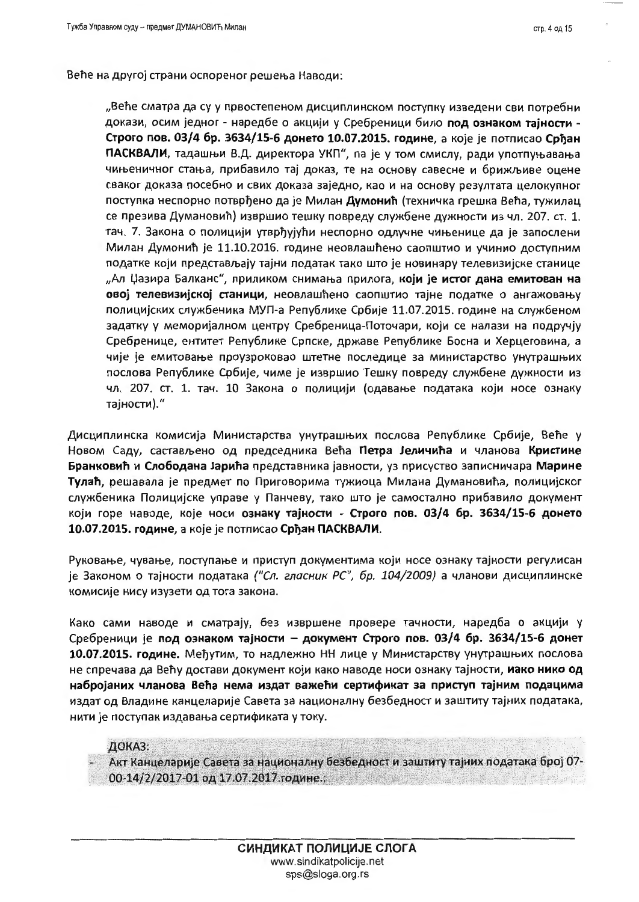Веће на другој страни оспореног решења Наводи:

"Веће сматра да су у првостепеном дисциплинском поступку изведени сви потребни докази, осим једног - наредбе о акцији у Сребреници било под ознаком тајности -Строго пов. 03/4 бр. 3634/15-6 донето 10.07.2015. године, а које је потписао Срђан ПАСКВАЛИ, тадашњи В.Д. директора УКП", па је у том смислу, ради употпуњавања чињеничног стања, прибавило тај доказ, те на основу савесне и брижљиве оцене сваког доказа посебно и свих доказа заједно, као и на основу резултата целокупног поступка неспорно потврђено да је Милан Думонић (техничка грешка Већа, тужилац се презива Думановић) извршио тешку повреду службене дужности из чл. 207. ст. 1. тач. 7. Закона о полицији утврђујући неспорно одлучне чињенице да је запослени Милан Думонић је 11.10.2016. године неовлашћено саопштио и учинио доступним податке који представљају тајни податак тако што је новинару телевизијске станице "Ал Џазира Балканс", приликом снимања прилога, који је истог дана емитован на овој телевизијској станици, неовлашћено саопштио тајне податке о ангажовању полицијских службеника МУП-а Републике Србије 11.07.2015. године на службеном задатку у меморијалном центру Сребреница-Поточари, који се налази на подручју Сребренице, ентитет Републике Српске, државе Републике Босна и Херцеговина, а чије је емитовање проузроковао штетне последице за министарство унутрашњих послова Републике Србије, чиме је извршио Тешку повреду службене дужности из чл. 207. ст. 1. тач. 10 Закона о полицији (одавање података који носе ознаку тајности)."

Дисциплинска комисија Министарства унутрашњих послова Републике Србије, Веће у Новом Саду, састављено од председника Већа Петра Јеличића и чланова Кристине Бранковић и Слободана Јарића представника јавности, уз присуство записничара Марине Тулаћ, решавала је предмет по Приговорима тужиоца Милана Думановића, полицијског службеника Полицијске управе у Панчеву, тако што је самостално прибавило документ који горе наводе, које носи ознаку тајности - Строго пов. 03/4 бр. 3634/15-6 донето 10.07.2015. године, а које је потписао Срђан ПАСКВАЛИ.

Руковање, чување, поступање и приступ документима који носе ознаку тајности регулисан је Законом о тајности података ("Сл. гласник РС", бр. 104/2009) а чланови дисциплинске комисије нису изузети од тога закона.

Како сами наводе и сматрају, без извршене провере тачности, наредба о акцији у Сребреници је под ознаком тајности - документ Строго пов. 03/4 бр. 3634/15-6 донет 10.07.2015. године. Међутим, то надлежно НН лице у Министарству унутрашњих послова не спречава да Већу достави документ који како наводе носи ознаку тајности, иако нико од набројаних чланова Већа нема издат важећи сертификат за приступ тајним подацима издат од Владине канцеларије Савета за националну безбедност и заштиту тајних података, нити је поступак издавања сертификата у току.

ДОКАЗ: Акт Канцеларије Савета за националну безбедност и заштиту тајних података број 07-00-14/2/2017-01 од 17.07.2017.године.;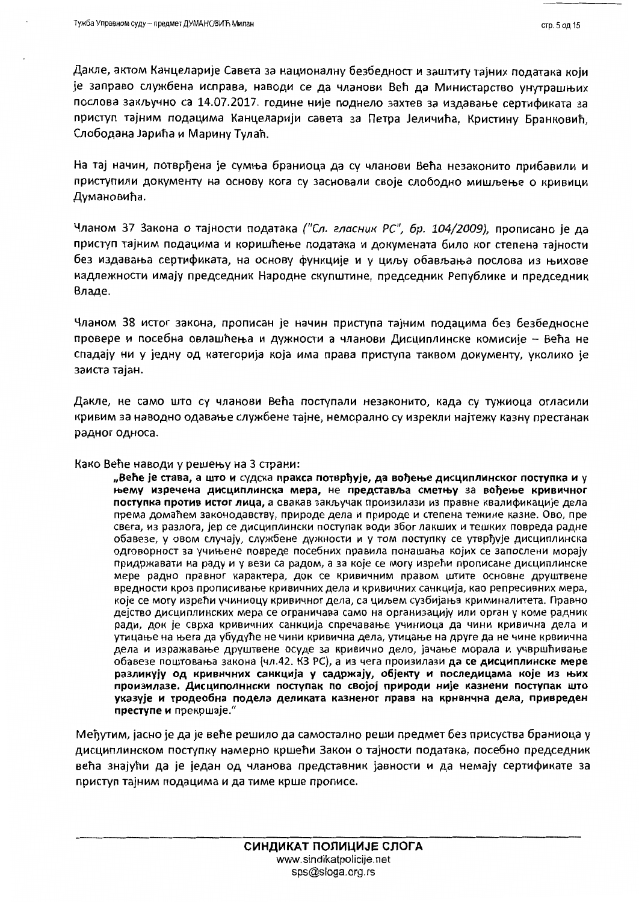Дакле, актом Канцеларије Савета за националну безбедност и заштиту тајних података који је заправо службена исправа, наводи се да чланови Већ да Министарство унутрашњих послова закључно са 14.07.2017. године није поднело захтев за издавање сертификата за приступ тајним подацима Канцеларији савета за Петра Јеличића, Кристину Бранковић, Слободана Јарића и Марину Тулаћ.

На тај начин, потврђена је сумња браниоца да су чланови Већа незаконито прибавили и приступили документу на основу кога су засновали своје слободно мишљење о кривици Думановића.

Чланом 37 Закона о тајности података ("Сл. гласник РС", бр. 104/2009), прописано је да приступ тајним подацима и коришћење података и докумената било ког степена тајности без издавања сертификата, на основу функције и у циљу обављања послова из њихове надлежности имају председник Народне скупштине, председник Републике и председник Владе.

Чланом 38 истог закона, прописан је начин приступа тајним подацима без безбедносне провере и посебна овлашћења и дужности а чланови Дисциплинске комисије - Већа не спадају ни у једну од категорија која има права приступа таквом документу, уколико је заиста тајан.

Дакле, не само што су чланови Већа поступали незаконито, када су тужиоца огласили кривим за наводно одавање службене тајне, неморално су изрекли најтежу казну престанак радног односа.

#### Како Веће наводи у решењу на 3 страни:

"Веће је става, а што и судска пракса потврђује, да вођење дисциплинског поступка и у њему изречена дисциплинска мера, не представља сметњу за вођење кривичног поступка против истог лица, а овакав закључак произилази из правне квалификације дела према домаћем законодавству, природе дела и природе и степена тежине казне. Ово, пре свега, из разлога, јер се дисциплински поступак води због лакших и тешких повреда радне обавезе, у овом случају, службене дужности и у том поступку се утврђује дисциплинска одговорност за учињене повреде посебних правила понашања којих се запослени морају придржавати на раду и у вези са радом, а за које се могу изрећи прописане дисциплинске мере радно правног карактера, док се кривичним правом штите основне друштвене вредности кроз прописивање кривичних дела и кривичних санкција, као репресивних мера, које се могу изрећи учиниоцу кривичног дела, са циљем сузбијања криминалитета. Правно дејство дисциплинских мера се ограничава само на организацију или орган у коме радник ради, док је сврха кривичних санкција спречавање учиниоца да чини кривична дела и утицање на њега да убудуће не чини кривична дела, утицање на друге да не чине крвиична дела и изражавање друштвене осуде за кривично дело, јачање морала и учвршћивање обавезе поштовања закона (чл.42. КЗ РС), а из чега произилази да се дисциплинске мере разликују од кривнчних санкција у садржају, објекту и последицама које из њих произилазе. Дисциполннски поступак по својој природи није казнени поступак што указује и тродеобна подела деликата казненог права на крнвнчна дела, привреден преступе и прекршаје."

Међутим, јасно је да је веће решило да самостално реши предмет без присуства браниоца у дисциплинском поступку намерно кршећи Закон о тајности података, посебно председник већа знајући да је један од чланова представник јавности и да немају сертификате за приступ тајним подацима и да тиме крше прописе.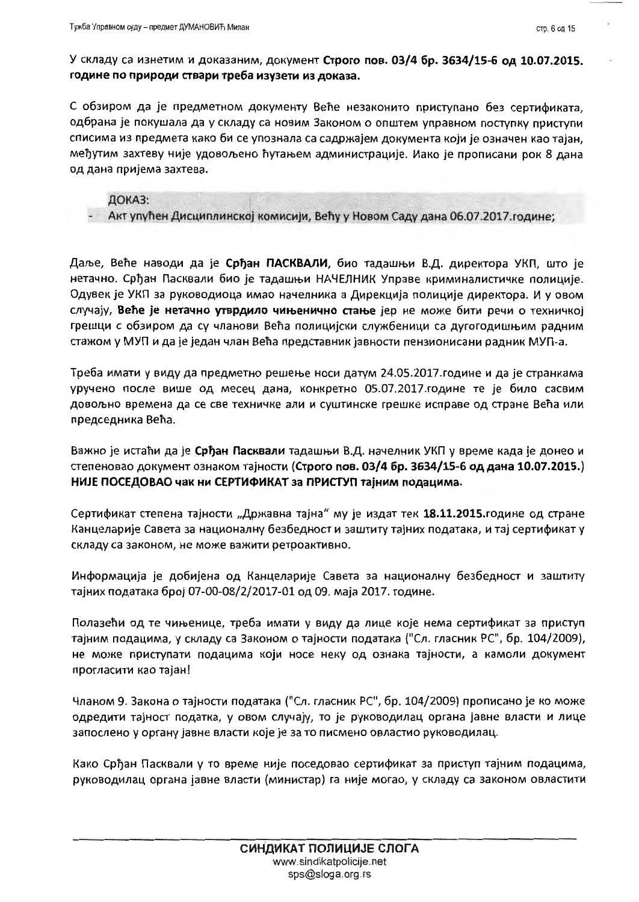С обзиром да је предметном документу Веће незаконито приступано без сертификата, одбрана је покушала да у складу са новим Законом о општем управном поступку приступи списима из предмета како би се упознала са садржајем документа који је означен као тајан, међутим захтеву није удовољено ћутањем администрације. Иако је прописани рок 8 дана од дана пријема захтева.

### ДОКАЗ:

Акт упућен Дисциплинској комисији, Већу у Новом Саду дана 06.07.2017. године;

Даље, Веће наводи да је Срђан ПАСКВАЛИ, био тадашњи В.Д. директора УКП, што је нетачно. Срђан Пасквали био је тадашњи НАЧЕЛНИК Управе криминалистичке полиције. Одувек је УКП за руководиоца имао начелника а Дирекција полиције директора. И у овом случају, Веће је нетачно утврдило чињенично стање јер не може бити речи о техничкој грешци с обзиром да су чланови Већа полицијски службеници са дугогодишњим радним стажом у МУП и да је један члан Већа представник јавности пензионисани радник МУП-а.

Треба имати у виду да предметно решење носи датум 24.05.2017.године и да је странкама уручено после више од месец дана, конкретно 05.07.2017.године те је било сасвим довољно времена да се све техничке али и суштинске грешке исправе од стране Већа или председника Већа.

Важно је истаћи да је Срђан Пасквали тадашњи В.Д. начелник УКП у време када је донео и степеновао документ ознаком тајности (Строго пов. 03/4 бр. 3634/15-6 од дана 10.07.2015.) НИЈЕ ПОСЕДОВАО чак ни СЕРТИФИКАТ за ПРИСТУП тајним подацима.

Сертификат степена тајности "Државна тајна" му је издат тек 18.11.2015.године од стране Канцеларије Савета за националну безбедност и заштиту тајних података, и тај сертификат у складу са законом, не може важити ретроактивно.

Информација је добијена од Канцеларије Савета за националну безбедност и заштиту тајних података број 07-00-08/2/2017-01 од 09. маја 2017. године.

Полазећи од те чињенице, треба имати у виду да лице које нема сертификат за приступ тајним подацима, у складу са Законом о тајности података ("Сл. гласник РС", бр. 104/2009), не може приступати подацима који носе неку од ознака тајности, а камоли документ прогласити као тајан!

Чланом 9. Закона о тајности података ("Сл. гласник РС", бр. 104/2009) прописано је ко може одредити тајност податка, у овом случају, то је руководилац органа јавне власти и лице запослено у органу јавне власти које је за то писмено овластио руководилац.

Како Срђан Пасквали у то време није поседовао сертификат за приступ тајним подацима, руководилац органа јавне власти (министар) га није могао, у складу са законом овластити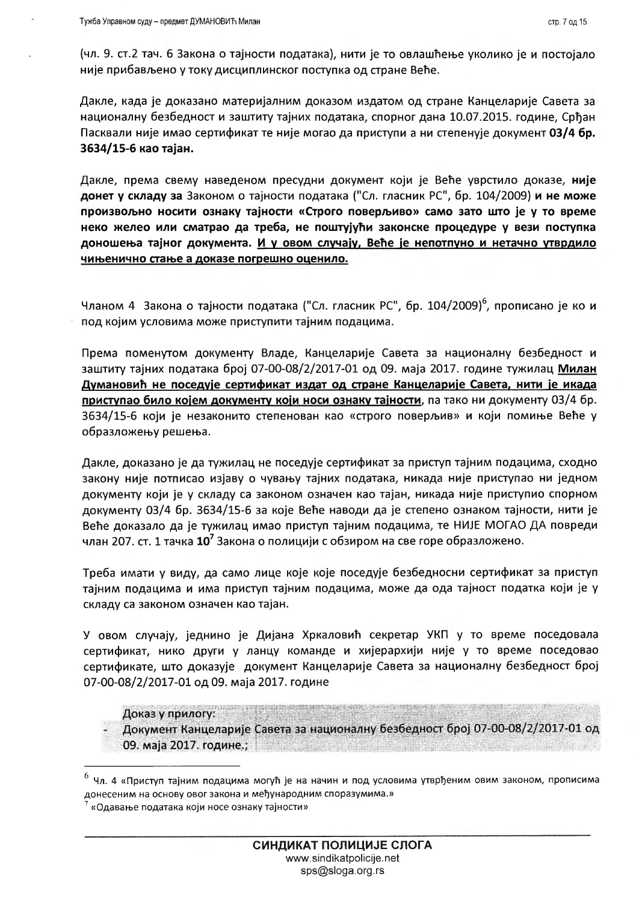(чл. 9. ст.2 тач. 6 Закона о тајности података), нити је то овлашћење уколико је и постојало није прибављено у току дисциплинског поступка од стране Веће.

Дакле, када је доказано материјалним доказом издатом од стране Канцеларије Савета за националну безбедност и заштиту тајних података, спорног дана 10.07.2015. године, Срђан Пасквали није имао сертификат те није могао да приступи а ни степенује документ 03/4 бр. 3634/15-6 као тајан.

Дакле, према свему наведеном пресудни документ који је Веће уврстило доказе, није донет у складу за Законом о тајности података ("Сл. гласник РС", бр. 104/2009) и не може произвољно носити ознаку тајности «Строго поверљиво» само зато што је у то време неко желео или сматрао да треба, не поштујући законске процедуре у вези поступка доношења тајног документа. И у овом случају, Веће је непотпуно и нетачно утврдило чињенично стање а доказе погрешно оценило.

Чланом 4 Закона о тајности података ("Сл. гласник РС", бр. 104/2009)<sup>6</sup>, прописано је ко и под којим условима може приступити тајним подацима.

Према поменутом документу Владе, Канцеларије Савета за националну безбедност и заштиту тајних података број 07-00-08/2/2017-01 од 09. маја 2017. године тужилац Милан Думановић не поседује сертификат издат од стране Канцеларије Савета, нити је икада приступао било којем документу који носи ознаку тајности, па тако ни документу 03/4 бр. 3634/15-6 који је незаконито степенован као «строго поверљив» и који помиње Веће у образложењу решења.

Дакле, доказано је да тужилац не поседује сертификат за приступ тајним подацима, сходно закону није потписао изјаву о чувању тајних података, никада није приступао ни једном документу који је у складу са законом означен као тајан, никада није приступио спорном документу 03/4 бр. 3634/15-6 за које Веће наводи да је степено ознаком тајности, нити је Веће доказало да је тужилац имао приступ тајним подацима, те НИЈЕ МОГАО ДА повреди члан 207. ст. 1 тачка 10<sup>7</sup> Закона о полицији с обзиром на све горе образложено.

Треба имати у виду, да само лице које које поседује безбедносни сертификат за приступ тајним подацима и има приступ тајним подацима, може да ода тајност податка који је у складу са законом означен као тајан.

У овом случају, једнино је Дијана Хркаловић секретар УКП у то време поседовала сертификат, нико други у ланцу команде и хијерархији није у то време поседовао сертификате, што доказује документ Канцеларије Савета за националну безбедност број 07-00-08/2/2017-01 од 09. маја 2017. године

Доказ у прилогу:

Документ Канцеларије Савета за националну безбедност број 07-00-08/2/2017-01 од 09. маја 2017. године.;

<sup>&</sup>lt;sup>6</sup> Чл. 4 «Приступ тајним подацима могућ је на начин и под условима утврђеним овим законом, прописима донесеним на основу овог закона и међународним споразумима.»

<sup>«</sup>Одавање података који носе ознаку тајности»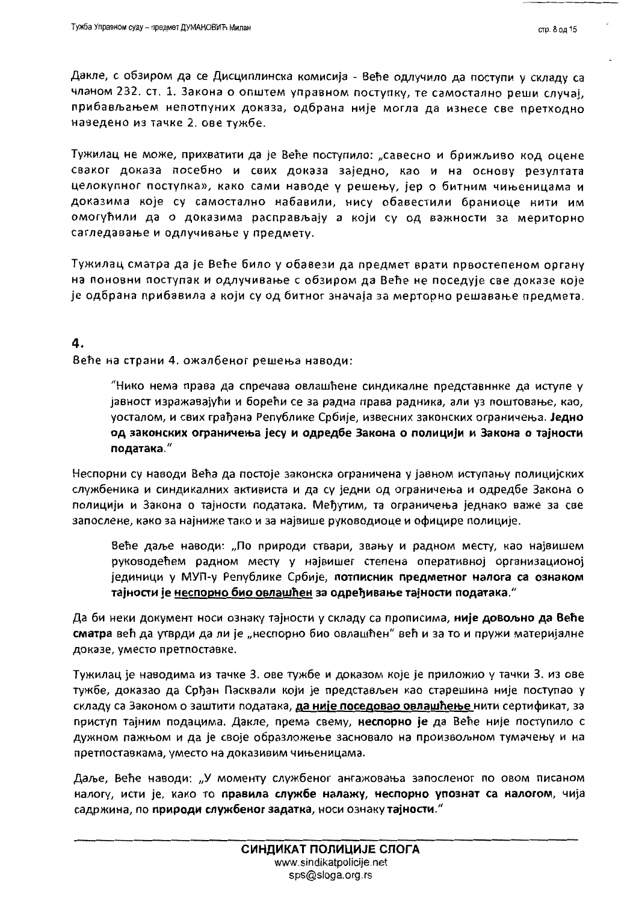Дакле, с обзиром да се Дисциплинска комисија - Веће одлучило да поступи у складу са чланом 232. ст. 1. Закона о општем управном поступку, те самостално реши случај, прибављањем непотпуних доказа, одбрана није могла да изнесе све претходно наведено из тачке 2. ове тужбе.

Тужилац не може, прихватити да је Веће поступило: "савесно и брижљиво код оцене сваког доказа посебно и свих доказа заједно, као и на основу резултата целокупног поступка», како сами наводе у решењу, јер о битним чињеницама и доказима које су самостално набавили, нису обавестили браниоце нити им омогућили да о доказима расправљају а који су од важности за мериторно сагледавање и одлучивање у предмету.

Тужилац сматра да је Веће било у обавези да предмет врати првостепеном органу на поновни поступак и одлучивање с обзиром да Веће не поседује све доказе које је одбрана прибавила а који су од битног значаја за мерторно решавање предмета.

### 4.

Веће на страни 4. ожалбеног решења наводи:

"Нико нема права да спречава овлашћене синдикалне представннке да иступе у јавност изражавајући и борећи се за радна права радника, али уз поштовање, као, уосталом, и свих грађана Републике Србије, извесних законских ограничења. Једно од законских ограничења јесу и одредбе Закона о полицији и Закона о тајности података."

Неспорни су наводи Већа да постоје законска ограничена у јавном иступању полицијских службеника и синдикалних активиста и да су једни од ограничења и одредбе Закона о полицији и Закона о тајности података. Међутим, та ограничења једнако важе за све запослене, како за најниже тако и за највише руководиоце и официре полиције.

Веће даље наводи: "По природи ствари, звању и радном месту, као највишем руководећем радном месту у највишег степена оперативној организационој јединици у МУП-у Републике Србије, потписник предметног налога са ознаком тајности је неспорно био овлашћен за одређивање тајности података."

Да би неки документ носи ознаку тајности у складу са прописима, **није довољно да Веће** сматра већ да утврди да ли је "неспорно био овлашћен" већ и за то и пружи материјалне доказе, уместо претпоставке.

Тужилац је наводима из тачке 3. ове тужбе и доказом које је приложио у тачки 3. из ове тужбе, доказао да Срђан Пасквали који је представљен као старешина није поступао у складу са Законом о заштити података, да није поседовао овлашћење нити сертификат, за приступ тајним подацима. Дакле, према свему, неспорно је да Веће није поступило с дужном пажњом и да је своје образложење засновало на произвољном тумачењу и на претпоставкама, уместо на доказивим чињеницама.

Даље, Веће наводи: "У моменту службеног ангажовања запосленог по овом писаном налогу, исти је, како то правила службе налажу, неспорно упознат са налогом, чија садржина, по природи службеног задатка, носи ознаку тајности."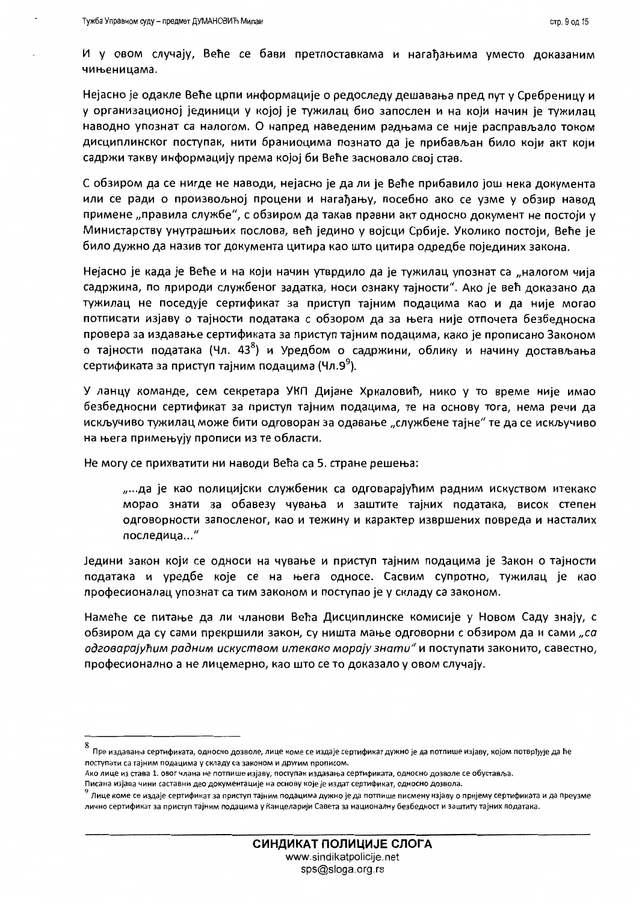И у овом случају, Веће се бави претпоставкама и нагађањима уместо доказаним чињеницама.

Нејасно је одакле Веће црпи информације о редоследу дешавања пред пут у Сребреницу и у организационој јединици у којој је тужилац био запослен и на који начин је тужилац наводно упознат са налогом. О напред наведеним радњама се није расправљало током дисциплинског поступак, нити браниоцима познато да је прибављан било који акт који садржи такву информацију према којој би Веће засновало свој став.

С обзиром да се нигде не наводи, нејасно је да ли је Веће прибавило још нека документа или се ради о произвољној процени и нагађању, посебно ако се узме у обзир навод примене "правила службе", с обзиром да такав правни акт односно документ не постоји у Министарству унутрашњих послова, већ једино у војсци Србије. Уколико постоји, Веће је било дужно да назив тог документа цитира као што цитира одредбе појединих закона.

Нејасно је када је Веће и на који начин утврдило да је тужилац упознат са "налогом чија садржина, по природи службеног задатка, носи ознаку тајности". Ако је већ доказано да тужилац не поседује сертификат за приступ тајним подацима као и да није могао потписати изјаву о тајности података с обзором да за њега није отпочета безбедносна провера за издавање сертификата за приступ тајним подацима, како је прописано Законом о тајности података (Чл. 43<sup>8</sup>) и Уредбом о садржини, облику и начину достављања сертификата за приступ тајним подацима (Чл.9<sup>9</sup>).

У ланцу команде, сем секретара УКП Дијане Хркаловић, нико у то време није имао безбедносни сертификат за приступ тајним подацима, те на основу тога, нема речи да искључиво тужилац може бити одговоран за одавање "службене тајне" те да се искључиво на њега примењују прописи из те области.

Не могу се прихватити ни наводи Већа са 5. стране решења:

"...да је као полицијски службеник са одговарајућим радним искуством итекако морао знати за обавезу чувања и заштите тајних података, висок степен одговорности запосленог, као и тежину и карактер извршених повреда и насталих последица..."

Једини закон који се односи на чување и приступ тајним подацима је Закон о тајности података и уредбе које се на њега односе. Сасвим супротно, тужилац је као професионалац упознат са тим законом и поступао је у складу са законом.

Намеће се питање да ли чланови Већа Дисциплинске комисије у Новом Саду знају, с обзиром да су сами прекршили закон, су ништа мање одговорни с обзиром да и сами "са одговарајућим радним искуством итекако морају знати" и поступати законито, савестно, професионално а не лицемерно, као што се то доказало у овом случају.

<sup>&</sup>lt;sup>'</sup> Пре издавања сертификата, односно дозволе, лице коме се издаје сертификат дужно је да потпише изјаву, којом потврђује да ће поступати са тајним подацима у складу са законом и другим прописом.

Ако лице из става 1. овог члана не потпише изјаву, поступак издавања сертификата, односно дозволе се обуставља

Писана изјава чини саставни део документације на основу које је издат сертификат, односно дозвола

<sup>&</sup>lt;sup>9</sup> Лице коме се издаје сертификат за приступ тајним подацима дужно је да потпише писмену изјаву о пријему сертификата и да преузме лично сертификат за приступ тајним подацима у Канцеларији Савета за националну безбедност и заштиту тајних података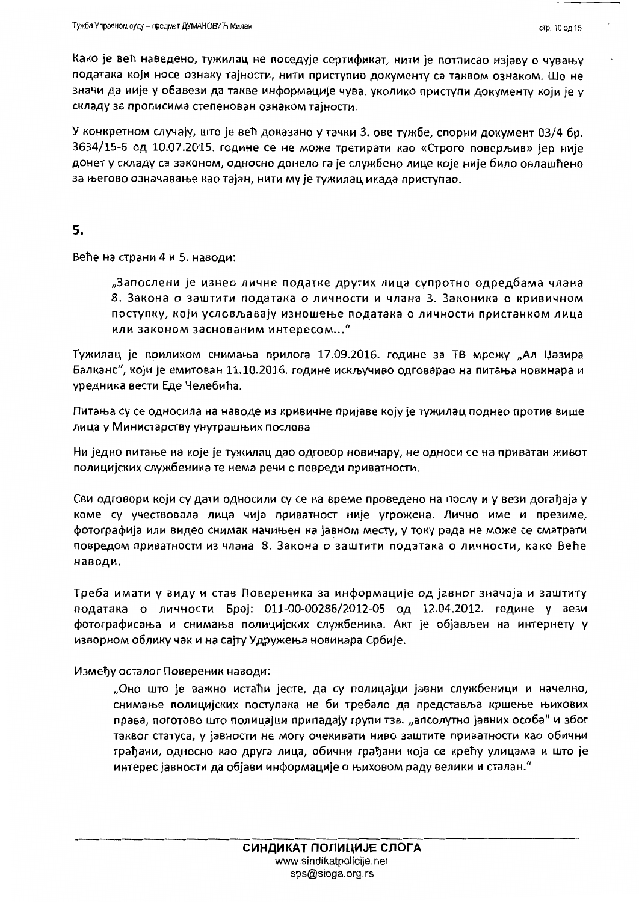Како је већ наведено, тужилац не поседује сертификат, нити је потписао изјаву о чувању података који носе ознаку тајности, нити приступио документу са таквом ознаком. Шо не значи да није у обавези да такве информације чува, уколико приступи документу који је у складу за прописима степенован ознаком тајности.

У конкретном случају, што је већ доказано у тачки 3. ове тужбе, спорни документ 03/4 бр. 3634/15-6 од 10.07.2015. године се не може третирати као «Строго поверљив» јер није донет у складу са законом, односно донело га је службено лице које није било овлашћено за његово означавање као тајан, нити му је тужилац икада приступао.

5.

Веће на страни 4 и 5. наводи:

"Запослени је изнео личне податке других лица супротно одредбама члана 8. Закона о заштити података о личности и члана 3. Законика о кривичном поступку, који условљавају изношење података о личности пристанком лица или законом заснованим интересом..."

Тужилац је приликом снимања прилога 17.09.2016. године за ТВ мрежу "Ал Џазира Балканс", који је емитован 11.10.2016. године искључиво одговарао на питања новинара и уредника вести Еде Челебића.

Питања су се односила на наводе из кривичне пријаве коју је тужилац поднео против више лица у Министарству унутрашњих послова.

Ни једно питање на које је тужилац дао одговор новинару, не односи се на приватан живот полицијских службеника те нема речи о повреди приватности.

Сви одговори који су дати односили су се на време проведено на послу и у вези догађаја у коме су учествовала лица чија приватност није угрожена. Лично име и презиме, фотографија или видео снимак начињен на јавном месту, у току рада не може се сматрати повредом приватности из члана 8. Закона о заштити података о личности, како Веће наводи.

Треба имати у виду и став Повереника за информације од јавног значаја и заштиту података о личности Број: 011-00-00286/2012-05 од 12.04.2012. године у вези фотографисања и снимања полицијских службеника. Акт је објављен на интернету у изворном облику чак и на сајту Удружења новинара Србије.

Између осталог Повереник наводи:

"Оно што је важно истаћи јесте, да су полицајци јавни службеници и начелно, снимање полицијских поступака не би требало да представља кршење њихових права, поготово што полицајци припадају групи тзв. "апсолутно јавних особа" и због таквог статуса, у јавности не могу очекивати ниво заштите приватности као обични грађани, односно као друга лица, обични грађани која се крећу улицама и што је интерес јавности да објави информације о њиховом раду велики и сталан."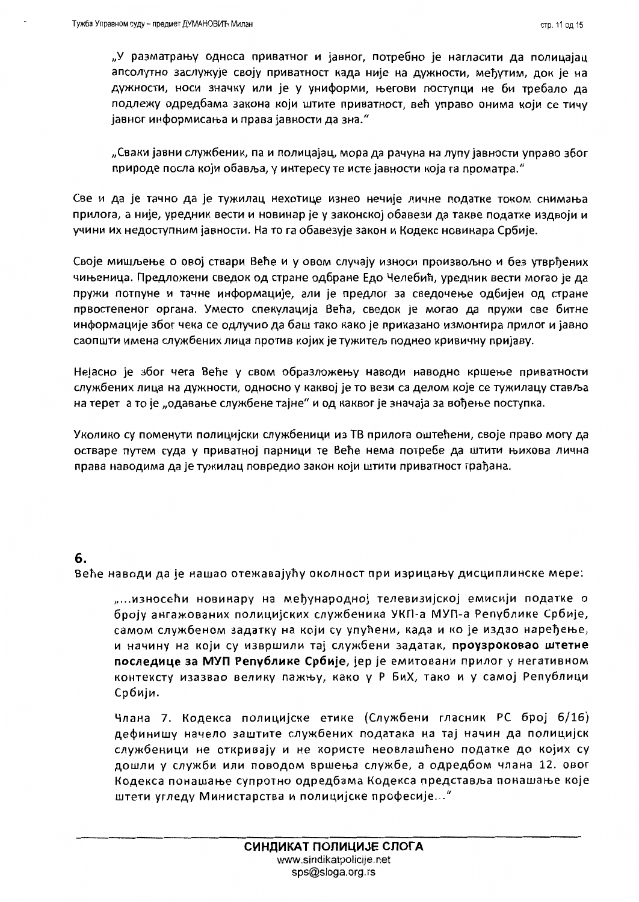"У разматрању односа приватног и јавног, потребно је нагласити да полицајац апсолутно заслужује своју приватност када није на дужности, међутим, док је на дужности, носи значку или је у униформи, његови поступци не би требало да подлежу одредбама закона који штите приватност, већ управо онима који се тичу јавног информисања и права јавности да зна."

"Сваки јавни службеник, па и полицајац, мора да рачуна на лупу јавности управо због природе посла који обавља, у интересу те исте јавности која га проматра."

Све и да је тачно да је тужилац нехотице изнео нечије личне податке током снимања прилога, а није, уредник вести и новинар је у законској обавези да такве податке издвоји и учини их недоступним јавности. На то га обавезује закон и Кодекс новинара Србије.

Своје мишљење о овој ствари Веће и у овом случају износи произвољно и без утврђених чињеница. Предложени сведок од стране одбране Едо Челебић, уредник вести могао је да пружи потпуне и тачне информације, али је предлог за сведочење одбијен од стране првостепеног органа. Уместо спекулација Већа, сведок је могао да пружи све битне информације због чека се одлучио да баш тако како је приказано измонтира прилог и јавно саопшти имена службених лица против којих је тужитељ поднео кривичну пријаву.

Нејасно је због чега Веће у свом образложењу наводи наводно кршење приватности службених лица на дужности, односно у каквој је то вези са делом које се тужилацу ставља на терет а то је "одавање службене тајне" и од каквог је значаја за вођење поступка.

Уколико су поменути полицијски службеници из ТВ прилога оштећени, своје право могу да остваре путем суда у приватној парници те Веће нема потребе да штити њихова лична права наводима да је тужилац повредио закон који штити приватност грађана.

### 6.

Веће наводи да је нашао отежавајућу околност при изрицању дисциплинске мере:

"...износећи новинару на међународној телевизијској емисији податке о броју ангажованих полицијских службеника УКП-а МУП-а Републике Србије, самом службеном задатку на који су упућени, када и ко је издао наређење, и начину на који су извршили тај службени задатак, проузроковао штетне последице за МУП Републике Србије, јер је емитовани прилог у негативном контексту изазвао велику пажњу, како у Р БиХ, тако и у самој Републици Србији.

Члана 7. Кодекса полицијске етике (Службени гласник РС број 6/16) дефинишу начело заштите службених података на тај начин да полицијск службеници не откривају и не користе неовлашћено податке до којих су дошли у служби или поводом вршења службе, а одредбом члана 12. овог Кодекса понашање супротно одредбама Кодекса представља понашање које штети угледу Министарства и полицијске професије..."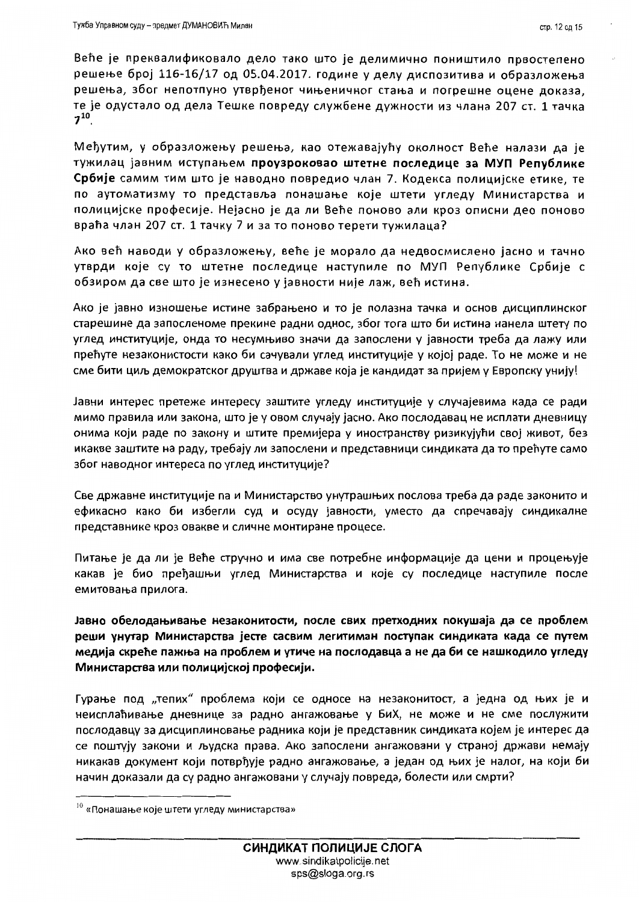Веће је преквалификовало дело тако што је делимично поништило првостепено решење број 116-16/17 од 05.04.2017. године у делу диспозитива и образложења решења, због непотпуно утврђеног чињеничног стања и погрешне оцене доказа, те је одустало од дела Тешке повреду службене дужности из члана 207 ст. 1 тачка  $7^{10}$ .

Међутим, у образложењу решења, као отежавајућу околност Веће налази да је тужилац јавним иступањем проузроковао штетне последице за МУП Републике Србије самим тим што је наводно повредио члан 7. Кодекса полицијске етике, те по аутоматизму то представља понашање које штети угледу Министарства и полицијске професије. Нејасно је да ли Веће поново али кроз описни део поново враћа члан 207 ст. 1 тачку 7 и за то поново терети тужилаца?

Ако већ наводи у образложењу, веће је морало да недвосмислено јасно и тачно утврди које су то штетне последице наступиле по МУП Републике Србије с обзиром да све што је изнесено у јавности није лаж, већ истина.

Ако је јавно изношење истине забрањено и то је полазна тачка и основ дисциплинског старешине да запосленоме прекине радни однос, због тога што би истина нанела штету по углед институције, онда то несумњиво значи да запослени у јавности треба да лажу или прећуте незаконистости како би сачували углед институције у којој раде. То не може и не сме бити циљ демократског друштва и државе која је кандидат за пријем у Европску унију!

Јавни интерес претеже интересу заштите угледу институције у случајевима када се ради мимо правила или закона, што је у овом случају јасно. Ако послодавац не исплати дневницу онима који раде по закону и штите премијера у иностранству ризикујући свој живот, без икакве заштите на раду, требају ли запослени и представници синдиката да то прећуте само због наводног интереса по углед институције?

Све државне институције па и Министарство унутрашњих послова треба да раде законито и ефикасно како би избегли суд и осуду јавности, уместо да спречавају синдикалне представнике кроз овакве и сличне монтиране процесе.

Питање је да ли је Веће стручно и има све потребне информације да цени и процењује какав је био пређашњи углед Министарства и које су последице наступиле после емитовања прилога.

Јавно обелодањивање незаконитости, после свих претходних покушаја да се проблем реши унутар Министарства јесте сасвим легитиман поступак синдиката када се путем медија скреће пажња на проблем и утиче на послодавца а не да би се нашкодило угледу Министарства или полицијској професији.

Гурање под "тепих" проблема који се односе на незаконитост, а једна од њих је и неисплаћивање дневнице за радно ангажовање у БиХ, не може и не сме послужити послодавцу за дисциплиновање радника који је представник синдиката којем је интерес да се поштују закони и људска права. Ако запослени ангажовани у страној држави немају никакав документ који потврђује радно ангажовање, а један од њих је налог, на који би начин доказали да су радно ангажовани у случају повреда, болести или смрти?

<sup>&</sup>lt;sup>10</sup> «Понашање које штети угледу министарства»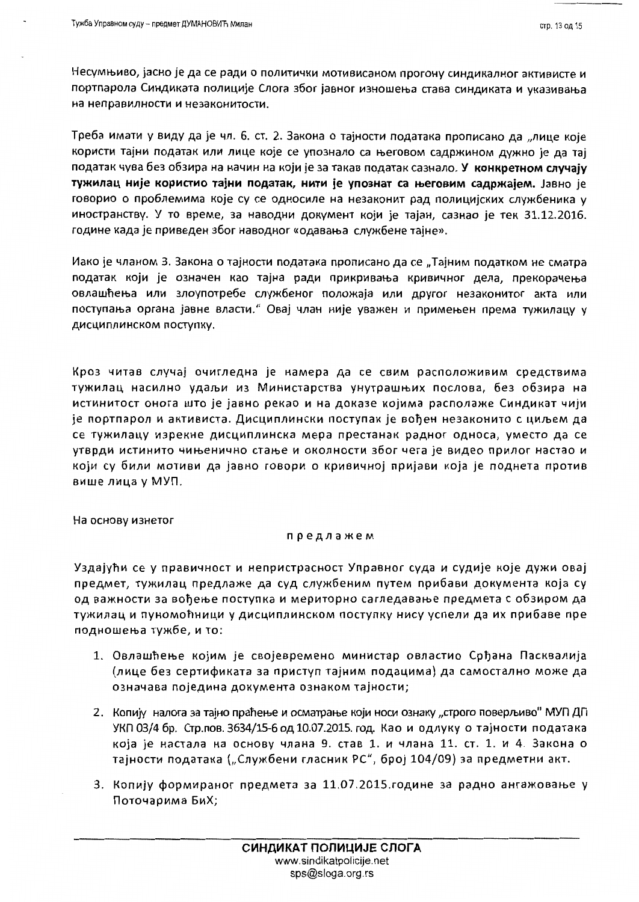Несумњиво, јасно је да се ради о политички мотивисаном прогону синдикалног активисте и портпарола Синдиката полиције Слога због јавног изношења става синдиката и указивања на неправилности и незаконитости.

Треба имати у виду да је чл. 6. ст. 2. Закона о тајности података прописано да "лице које користи тајни податак или лице које се упознало са његовом садржином дужно је да тај податак чува без обзира на начин на који је за такав податак сазнало. У конкретном случају тужилац није користио тајни податак, нити је упознат са његовим садржајем. Јавно је говорио о проблемима које су се односиле на незаконит рад полицијских службеника у иностранству. У то време, за наводни документ који је тајан, сазнао је тек 31.12.2016. године када је приведен због наводног «одавања службене тајне».

Иако је чланом 3. Закона о тајности података прописано да се "Тајним податком не сматра податак који је означен као тајна ради прикривања кривичног дела, прекорачења овлашћења или злоупотребе службеног положаја или другог незаконитог акта или поступања органа јавне власти." Овај члан није уважен и примењен према тужилацу у дисциплинском поступку.

Кроз читав случај очигледна је намера да се свим расположивим средствима тужилац насилно удаљи из Министарства унутрашњих послова, без обзира на истинитост онога што је јавно рекао и на доказе којима располаже Синдикат чији је портпарол и активиста. Дисциплински поступак је вођен незаконито с циљем да се тужилацу изрекне дисциплинска мера престанак радног односа, уместо да се утврди истинито чињенично стање и околности због чега је видео прилог настао и који су били мотиви да јавно говори о кривичној пријави која је поднета против више лица у МУП.

На основу изнетог

#### предлажем

Уздајући се у правичност и непристрасност Управног суда и судије које дужи овај предмет, тужилац предлаже да суд службеним путем прибави документа која су од важности за вођење поступка и мериторно сагледавање предмета с обзиром да тужилац и пуномоћници у дисциплинском поступку нису успели да их прибаве пре подношења тужбе, и то:

- 1. Овлашћење којим је својевремено министар овластио Срђана Пасквалија (лице без сертификата за приступ тајним подацима) да самостално може да означава поједина документа ознаком тајности;
- 2. Копију налога за тајно праћење и осматрање који носи ознаку "строго поверљиво" МУП ДП УКП 03/4 бр. Стр. пов. 3634/15-6 од 10.07.2015. год. Као и одлуку о тајности података која је настала на основу члана 9. став 1. и члана 11. ст. 1. и 4. Закона о тајности података ("Службени гласник РС", број 104/09) за предметни акт.
- 3. Копију формираног предмета за 11.07.2015. године за радно ангажовање у Поточарима БиХ;